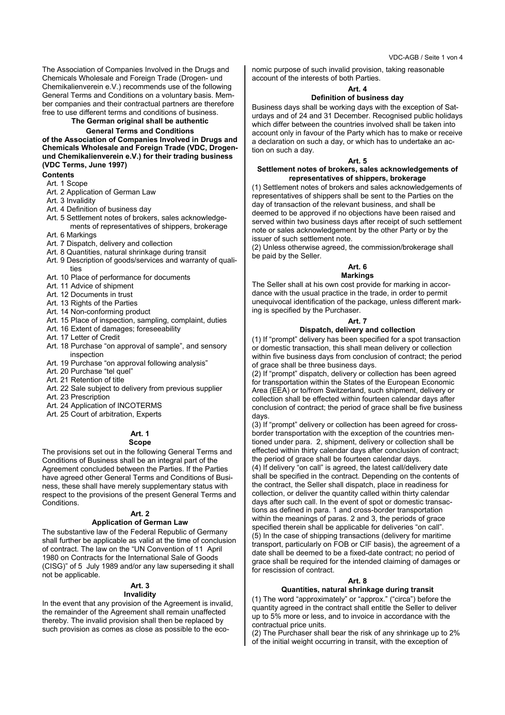VDC-AGB / Seite 1 von 4

The Association of Companies Involved in the Drugs and Chemicals Wholesale and Foreign Trade (Drogen- und Chemikalienverein e.V.) recommends use of the following General Terms and Conditions on a voluntary basis. Member companies and their contractual partners are therefore free to use different terms and conditions of business.

# **The German original shall be authentic**

## **General Terms and Conditions**

**of the Association of Companies Involved in Drugs and Chemicals Wholesale and Foreign Trade (VDC, Drogenund Chemikalienverein e.V.) for their trading business (VDC Terms, June 1997)**

## **Contents**

- Art. 1 Scope
- Art. 2 Application of German Law
- Art. 3 Invalidity
- Art. 4 Definition of business day
- Art. 5 Settlement notes of brokers, sales acknowledgements of representatives of shippers, brokerage
- Art. 6 Markings
- Art. 7 Dispatch, delivery and collection
- Art. 8 Quantities, natural shrinkage during transit
- Art. 9 Description of goods/services and warranty of qualities
- Art. 10 Place of performance for documents
- Art. 11 Advice of shipment
- Art. 12 Documents in trust
- Art. 13 Rights of the Parties
- Art. 14 Non-conforming product
- Art. 15 Place of inspection, sampling, complaint, duties
- Art. 16 Extent of damages; foreseeability
- Art. 17 Letter of Credit
- Art. 18 Purchase "on approval of sample", and sensory inspection
- Art. 19 Purchase "on approval following analysis"
- Art. 20 Purchase "tel quel"
- Art. 21 Retention of title
- Art. 22 Sale subject to delivery from previous supplier
- Art. 23 Prescription
- Art. 24 Application of INCOTERMS
- Art. 25 Court of arbitration, Experts

#### **Art. 1 Scope**

The provisions set out in the following General Terms and Conditions of Business shall be an integral part of the Agreement concluded between the Parties. If the Parties have agreed other General Terms and Conditions of Business, these shall have merely supplementary status with respect to the provisions of the present General Terms and Conditions.

## **Art. 2**

## **Application of German Law**

The substantive law of the Federal Republic of Germany shall further be applicable as valid at the time of conclusion of contract. The law on the "UN Convention of 11 April 1980 on Contracts for the International Sale of Goods (CISG)" of 5 July 1989 and/or any law superseding it shall not be applicable.

## **Art. 3**

## **Invalidity**

In the event that any provision of the Agreement is invalid, the remainder of the Agreement shall remain unaffected thereby. The invalid provision shall then be replaced by such provision as comes as close as possible to the economic purpose of such invalid provision, taking reasonable account of the interests of both Parties.

## **Art. 4**

## **Definition of business day**

Business days shall be working days with the exception of Saturdays and of 24 and 31 December. Recognised public holidays which differ between the countries involved shall be taken into account only in favour of the Party which has to make or receive a declaration on such a day, or which has to undertake an action on such a day.

#### **Art. 5**

## **Settlement notes of brokers, sales acknowledgements of representatives of shippers, brokerage**

(1) Settlement notes of brokers and sales acknowledgements of representatives of shippers shall be sent to the Parties on the day of transaction of the relevant business, and shall be deemed to be approved if no objections have been raised and served within two business days after receipt of such settlement note or sales acknowledgement by the other Party or by the issuer of such settlement note.

(2) Unless otherwise agreed, the commission/brokerage shall be paid by the Seller.

### **Art. 6 Markings**

## The Seller shall at his own cost provide for marking in accordance with the usual practice in the trade, in order to permit unequivocal identification of the package, unless different marking is specified by the Purchaser.

#### **Art. 7**

## **Dispatch, delivery and collection**

(1) If "prompt" delivery has been specified for a spot transaction or domestic transaction, this shall mean delivery or collection within five business days from conclusion of contract; the period of grace shall be three business days.

(2) If "prompt" dispatch, delivery or collection has been agreed for transportation within the States of the European Economic Area (EEA) or to/from Switzerland, such shipment, delivery or collection shall be effected within fourteen calendar days after conclusion of contract; the period of grace shall be five business days.

(3) If "prompt" delivery or collection has been agreed for crossborder transportation with the exception of the countries mentioned under para. 2, shipment, delivery or collection shall be effected within thirty calendar days after conclusion of contract; the period of grace shall be fourteen calendar days. (4) If delivery "on call" is agreed, the latest call/delivery date shall be specified in the contract. Depending on the contents of the contract, the Seller shall dispatch, place in readiness for collection, or deliver the quantity called within thirty calendar days after such call. In the event of spot or domestic transactions as defined in para. 1 and cross-border transportation within the meanings of paras. 2 and 3, the periods of grace specified therein shall be applicable for deliveries "on call". (5) In the case of shipping transactions (delivery for maritime transport, particularly on FOB or CIF basis), the agreement of a date shall be deemed to be a fixed-date contract; no period of grace shall be required for the intended claiming of damages or for rescission of contract.

#### **Art. 8**

## **Quantities, natural shrinkage during transit**

(1) The word "approximately" or "approx." ("circa") before the quantity agreed in the contract shall entitle the Seller to deliver up to 5% more or less, and to invoice in accordance with the contractual price units.

(2) The Purchaser shall bear the risk of any shrinkage up to 2% of the initial weight occurring in transit, with the exception of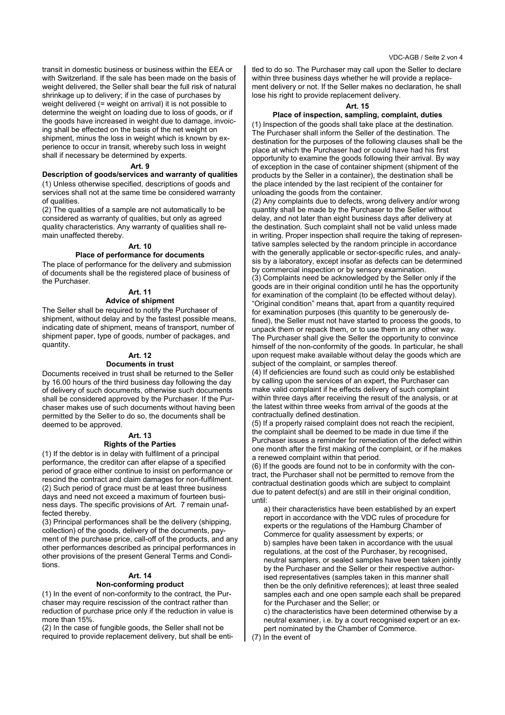transit in domestic business or business within the EEA or with Switzerland. If the sale has been made on the basis of weight delivered, the Seller shall bear the full risk of natural shrinkage up to delivery; if in the case of purchases by weight delivered (= weight on arrival) it is not possible to determine the weight on loading due to loss of goods, or if the goods have increased in weight due to damage, invoicing shall be effected on the basis of the net weight on shipment, minus the loss in weight which is known by experience to occur in transit, whereby such loss in weight shall if necessary be determined by experts.

## **Art. 9**

#### **Description of goods/services and warranty of qualities**

(1) Unless otherwise specified, descriptions of goods and services shall not at the same time be considered warranty of qualities.

(2) The qualities of a sample are not automatically to be considered as warranty of qualities, but only as agreed quality characteristics. Any warranty of qualities shall remain unaffected thereby.

#### **Art. 10**

#### **Place of performance for documents**

The place of performance for the delivery and submission of documents shall be the registered place of business of the Purchaser.

## **Art. 11**

## **Advice of shipment**

The Seller shall be required to notify the Purchaser of shipment, without delay and by the fastest possible means, indicating date of shipment, means of transport, number of shipment paper, type of goods, number of packages, and quantity.

#### **Art. 12**

#### **Documents in trust**

Documents received in trust shall be returned to the Seller by 16.00 hours of the third business day following the day of delivery of such documents, otherwise such documents shall be considered approved by the Purchaser. If the Purchaser makes use of such documents without having been permitted by the Seller to do so, the documents shall be deemed to be approved.

#### **Art. 13 Rights of the Parties**

(1) If the debtor is in delay with fulfilment of a principal performance, the creditor can after elapse of a specified period of grace either continue to insist on performance or rescind the contract and claim damages for non-fulfilment. (2) Such period of grace must be at least three business days and need not exceed a maximum of fourteen business days. The specific provisions of Art. 7 remain unaffected thereby.

(3) Principal performances shall be the delivery (shipping, collection) of the goods, delivery of the documents, payment of the purchase price, call-off of the products, and any other performances described as principal performances in other provisions of the present General Terms and Conditions.

## **Art. 14**

## **Non-conforming product**

(1) In the event of non-conformity to the contract, the Purchaser may require rescission of the contract rather than reduction of purchase price only if the reduction in value is more than 15%.

(2) In the case of fungible goods, the Seller shall not be required to provide replacement delivery, but shall be entitled to do so. The Purchaser may call upon the Seller to declare within three business days whether he will provide a replacement delivery or not. If the Seller makes no declaration, he shall lose his right to provide replacement delivery.

#### **Art. 15**

#### **Place of inspection, sampling, complaint, duties**

(1) Inspection of the goods shall take place at the destination. The Purchaser shall inform the Seller of the destination. The destination for the purposes of the following clauses shall be the place at which the Purchaser had or could have had his first opportunity to examine the goods following their arrival. By way of exception in the case of container shipment (shipment of the products by the Seller in a container), the destination shall be the place intended by the last recipient of the container for unloading the goods from the container.

(2) Any complaints due to defects, wrong delivery and/or wrong quantity shall be made by the Purchaser to the Seller without delay, and not later than eight business days after delivery at the destination. Such complaint shall not be valid unless made in writing. Proper inspection shall require the taking of representative samples selected by the random principle in accordance with the generally applicable or sector-specific rules, and analysis by a laboratory, except insofar as defects can be determined by commercial inspection or by sensory examination.

(3) Complaints need be acknowledged by the Seller only if the goods are in their original condition until he has the opportunity for examination of the complaint (to be effected without delay). "Original condition" means that, apart from a quantity required for examination purposes (this quantity to be generously defined), the Seller must not have started to process the goods, to unpack them or repack them, or to use them in any other way. The Purchaser shall give the Seller the opportunity to convince himself of the non-conformity of the goods. In particular, he shall upon request make available without delay the goods which are subject of the complaint, or samples thereof.

(4) If deficiencies are found such as could only be established by calling upon the services of an expert, the Purchaser can make valid complaint if he effects delivery of such complaint within three days after receiving the result of the analysis, or at the latest within three weeks from arrival of the goods at the contractually defined destination.

(5) If a properly raised complaint does not reach the recipient, the complaint shall be deemed to be made in due time if the Purchaser issues a reminder for remediation of the defect within one month after the first making of the complaint, or if he makes a renewed complaint within that period.

(6) If the goods are found not to be in conformity with the contract, the Purchaser shall not be permitted to remove from the contractual destination goods which are subject to complaint due to patent defect(s) and are still in their original condition, until:

a) their characteristics have been established by an expert report in accordance with the VDC rules of procedure for experts or the regulations of the Hamburg Chamber of Commerce for quality assessment by experts; or b) samples have been taken in accordance with the usual regulations, at the cost of the Purchaser, by recognised, neutral samplers, or sealed samples have been taken jointly by the Purchaser and the Seller or their respective authorised representatives (samples taken in this manner shall then be the only definitive references); at least three sealed samples each and one open sample each shall be prepared for the Purchaser and the Seller; or

c) the characteristics have been determined otherwise by a neutral examiner, i.e. by a court recognised expert or an expert nominated by the Chamber of Commerce.

(7) In the event of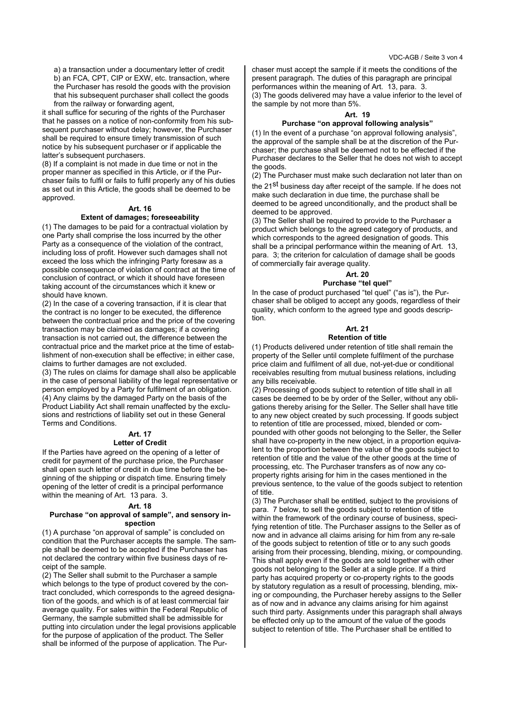a) a transaction under a documentary letter of credit b) an FCA, CPT, CIP or EXW, etc. transaction, where the Purchaser has resold the goods with the provision that his subsequent purchaser shall collect the goods from the railway or forwarding agent,

it shall suffice for securing of the rights of the Purchaser that he passes on a notice of non-conformity from his subsequent purchaser without delay; however, the Purchaser shall be required to ensure timely transmission of such notice by his subsequent purchaser or if applicable the latter's subsequent purchasers.

(8) If a complaint is not made in due time or not in the proper manner as specified in this Article, or if the Purchaser fails to fulfil or fails to fulfil properly any of his duties as set out in this Article, the goods shall be deemed to be approved.

## **Art. 16**

## **Extent of damages; foreseeability**

(1) The damages to be paid for a contractual violation by one Party shall comprise the loss incurred by the other Party as a consequence of the violation of the contract, including loss of profit. However such damages shall not exceed the loss which the infringing Party foresaw as a possible consequence of violation of contract at the time of conclusion of contract, or which it should have foreseen taking account of the circumstances which it knew or should have known.

(2) In the case of a covering transaction, if it is clear that the contract is no longer to be executed, the difference between the contractual price and the price of the covering transaction may be claimed as damages; if a covering transaction is not carried out, the difference between the contractual price and the market price at the time of establishment of non-execution shall be effective; in either case, claims to further damages are not excluded.

(3) The rules on claims for damage shall also be applicable in the case of personal liability of the legal representative or person employed by a Party for fulfilment of an obligation. (4) Any claims by the damaged Party on the basis of the Product Liability Act shall remain unaffected by the exclusions and restrictions of liability set out in these General Terms and Conditions.

#### **Art. 17 Letter of Credit**

If the Parties have agreed on the opening of a letter of credit for payment of the purchase price, the Purchaser shall open such letter of credit in due time before the beginning of the shipping or dispatch time. Ensuring timely opening of the letter of credit is a principal performance within the meaning of Art. 13 para. 3.

## **Art. 18**

## **Purchase "on approval of sample", and sensory inspection**

(1) A purchase "on approval of sample" is concluded on condition that the Purchaser accepts the sample. The sample shall be deemed to be accepted if the Purchaser has not declared the contrary within five business days of receipt of the sample.

(2) The Seller shall submit to the Purchaser a sample which belongs to the type of product covered by the contract concluded, which corresponds to the agreed designation of the goods, and which is of at least commercial fair average quality. For sales within the Federal Republic of Germany, the sample submitted shall be admissible for putting into circulation under the legal provisions applicable for the purpose of application of the product. The Seller shall be informed of the purpose of application. The Purchaser must accept the sample if it meets the conditions of the present paragraph. The duties of this paragraph are principal performances within the meaning of Art. 13, para. 3. (3) The goods delivered may have a value inferior to the level of the sample by not more than 5%.

#### **Art. 19**

## **Purchase "on approval following analysis"**

(1) In the event of a purchase "on approval following analysis", the approval of the sample shall be at the discretion of the Purchaser; the purchase shall be deemed not to be effected if the Purchaser declares to the Seller that he does not wish to accept the goods.

(2) The Purchaser must make such declaration not later than on the 21<sup>st</sup> business day after receipt of the sample. If he does not make such declaration in due time, the purchase shall be deemed to be agreed unconditionally, and the product shall be deemed to be approved.

(3) The Seller shall be required to provide to the Purchaser a product which belongs to the agreed category of products, and which corresponds to the agreed designation of goods. This shall be a principal performance within the meaning of Art. 13, para. 3; the criterion for calculation of damage shall be goods of commercially fair average quality.

## **Art. 20**

## **Purchase "tel quel"**

In the case of product purchased "tel quel" ("as is"), the Purchaser shall be obliged to accept any goods, regardless of their quality, which conform to the agreed type and goods description.

#### **Art. 21 Retention of title**

## (1) Products delivered under retention of title shall remain the property of the Seller until complete fulfilment of the purchase price claim and fulfilment of all due, not-yet-due or conditional receivables resulting from mutual business relations, including

any bills receivable. (2) Processing of goods subject to retention of title shall in all cases be deemed to be by order of the Seller, without any obligations thereby arising for the Seller. The Seller shall have title to any new object created by such processing. If goods subject to retention of title are processed, mixed, blended or compounded with other goods not belonging to the Seller, the Seller shall have co-property in the new object, in a proportion equivalent to the proportion between the value of the goods subject to retention of title and the value of the other goods at the time of processing, etc. The Purchaser transfers as of now any coproperty rights arising for him in the cases mentioned in the previous sentence, to the value of the goods subject to retention of title.

(3) The Purchaser shall be entitled, subject to the provisions of para. 7 below, to sell the goods subject to retention of title within the framework of the ordinary course of business, specifying retention of title. The Purchaser assigns to the Seller as of now and in advance all claims arising for him from any re-sale of the goods subject to retention of title or to any such goods arising from their processing, blending, mixing, or compounding. This shall apply even if the goods are sold together with other goods not belonging to the Seller at a single price. If a third party has acquired property or co-property rights to the goods by statutory regulation as a result of processing, blending, mixing or compounding, the Purchaser hereby assigns to the Seller as of now and in advance any claims arising for him against such third party. Assignments under this paragraph shall always be effected only up to the amount of the value of the goods subject to retention of title. The Purchaser shall be entitled to